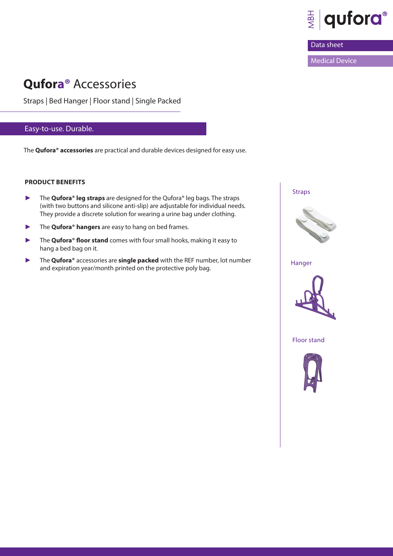

## Data sheet

Medical Device

# **Qufora®** Accessories

Straps | Bed Hanger | Floor stand | Single Packed

# Easy-to-use. Durable.

The **Qufora® accessories** are practical and durable devices designed for easy use.

#### **PRODUCT BENEFITS**

- ► The **Qufora® leg straps** are designed for the Qufora® leg bags. The straps (with two buttons and silicone anti-slip) are adjustable for individual needs. They provide a discrete solution for wearing a urine bag under clothing.
- ► The **Qufora® hangers** are easy to hang on bed frames.
- ► The **Qufora® floor stand** comes with four small hooks, making it easy to hang a bed bag on it.
- ► The **Qufora®** accessories are **single packed** with the REF number, lot number and expiration year/month printed on the protective poly bag.



Hanger



Floor stand

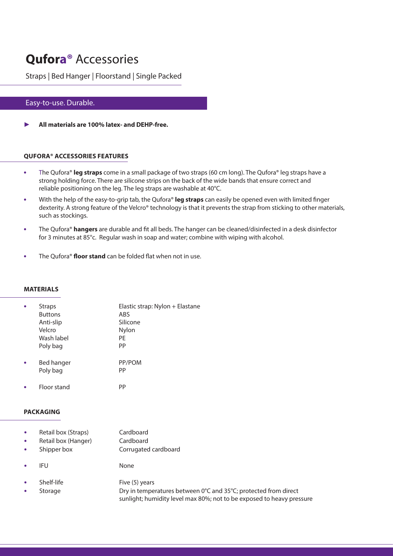# **Qufora®** Accessories

Straps | Bed Hanger | Floorstand | Single Packed

# Easy-to-use. Durable.

All materials are 100% latex- and DEHP-free.

#### **QUFORA® ACCESSORIES FEATURES**

- **•** The Qufora® **leg straps** come in a small package of two straps (60 cm long). The Qufora® leg straps have a strong holding force. There are silicone strips on the back of the wide bands that ensure correct and reliable positioning on the leg. The leg straps are washable at 40°C.
- **•** With the help of the easy-to-grip tab, the Qufora® **leg straps** can easily be opened even with limited finger dexterity. A strong feature of the Velcro® technology is that it prevents the strap from sticking to other materials, such as stockings.
- **•** The Qufora® **hangers** are durable and fit all beds. The hanger can be cleaned/disinfected in a desk disinfector for 3 minutes at 85°c. Regular wash in soap and water; combine with wiping with alcohol.
- **•** The Qufora® **floor stand** can be folded flat when not in use.

#### **MATERIALS**

| <b>Straps</b>  | Elastic strap: Nylon + Elastane |  |  |
|----------------|---------------------------------|--|--|
| <b>Buttons</b> | ABS                             |  |  |
| Anti-slip      | Silicone                        |  |  |
| Velcro         | Nylon                           |  |  |
| Wash label     | PE                              |  |  |
| Poly bag       | PP                              |  |  |
| Bed hanger     | PP/POM                          |  |  |
| Poly bag       | PP                              |  |  |

**•** Floor stand PP

#### **PACKAGING**

| $\bullet$<br>$\bullet$ | Retail box (Straps)<br>Retail box (Hanger)<br>Shipper box | Cardboard<br>Cardboard<br>Corrugated cardboard   |
|------------------------|-----------------------------------------------------------|--------------------------------------------------|
|                        | IFU                                                       | None                                             |
|                        | Shelf-life<br>Storage                                     | Five (5) years<br>Dry in temperatures between 0° |

<sup>°</sup>C and 35<sup>°</sup>C; protected from direct sunlight; humidity level max 80%; not to be exposed to heavy pressure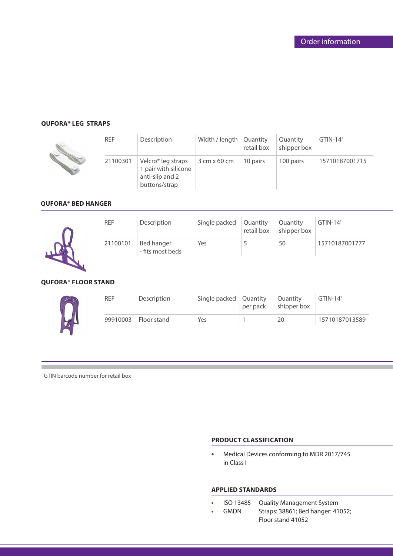## **QUFORA® LEG STRAPS**

| <b>REF</b> | Description                                                                                | Width / length   Quantity | retail box | Quantity<br>shipper box | $GTIN-141$     |
|------------|--------------------------------------------------------------------------------------------|---------------------------|------------|-------------------------|----------------|
| 21100301   | Velcro <sup>®</sup> leg straps<br>1 pair with silicone<br>anti-slip and 2<br>buttons/strap | $3$ cm x 60 cm            | 10 pairs   | 100 pairs               | 15710187001715 |

### **QUFORA® BED HANGER**



| <b>REF</b> | Description                           | Single packed   Quantity | retail box | Quantity<br>shipper box | $GTIN-141$     |
|------------|---------------------------------------|--------------------------|------------|-------------------------|----------------|
| 21100101   | <b>Bed hanger</b><br>- fits most beds | Yes                      |            | 50                      | 15710187001777 |

#### **QUFORA® FLOOR STAND**

| <b>REF</b> | Description            | Single packed Quantity | per pack | <b>Quantity</b><br>shipper box | $\Box$ GTIN-14 <sup>1</sup> |
|------------|------------------------|------------------------|----------|--------------------------------|-----------------------------|
|            | 99910003   Floor stand | Yes                    |          | 20                             | 15710187013589              |

<sup>1</sup>GTIN barcode number for retail box

## **PRODUCT CLASSIFICATION**

**•** Medical Devices conforming to MDR 2017/745 in Class I

#### **APPLIED STANDARDS**

- **•** ISO 13485 Quality Management System
- **•** GMDN Straps: 38861; Bed hanger: 41052; Floor stand 41052